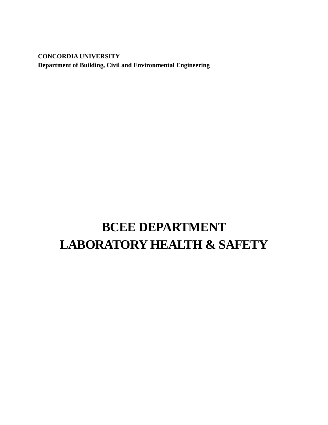**CONCORDIA UNIVERSITY Department of Building, Civil and Environmental Engineering**

# **BCEE DEPARTMENT LABORATORY HEALTH & SAFETY**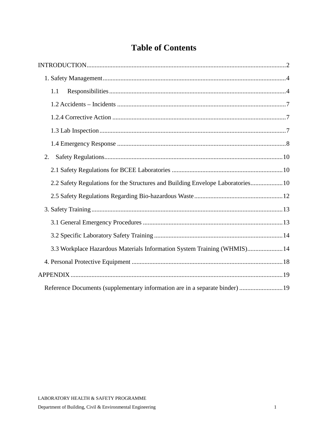## **Table of Contents**

| 1.1                                                                            |
|--------------------------------------------------------------------------------|
|                                                                                |
|                                                                                |
|                                                                                |
|                                                                                |
| 2.                                                                             |
|                                                                                |
| 2.2 Safety Regulations for the Structures and Building Envelope Laboratories10 |
|                                                                                |
|                                                                                |
|                                                                                |
|                                                                                |
| 3.3 Workplace Hazardous Materials Information System Training (WHMIS) 14       |
|                                                                                |
|                                                                                |
|                                                                                |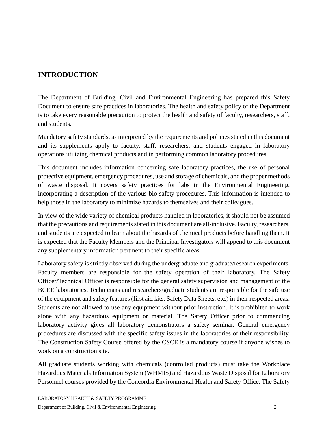## <span id="page-2-0"></span>**INTRODUCTION**

The Department of Building, Civil and Environmental Engineering has prepared this Safety Document to ensure safe practices in laboratories. The health and safety policy of the Department is to take every reasonable precaution to protect the health and safety of faculty, researchers, staff, and students.

Mandatory safety standards, as interpreted by the requirements and policies stated in this document and its supplements apply to faculty, staff, researchers, and students engaged in laboratory operations utilizing chemical products and in performing common laboratory procedures.

This document includes information concerning safe laboratory practices, the use of personal protective equipment, emergency procedures, use and storage of chemicals, and the proper methods of waste disposal. It covers safety practices for labs in the Environmental Engineering, incorporating a description of the various bio-safety procedures. This information is intended to help those in the laboratory to minimize hazards to themselves and their colleagues.

In view of the wide variety of chemical products handled in laboratories, it should not be assumed that the precautions and requirements stated in this document are all-inclusive. Faculty, researchers, and students are expected to learn about the hazards of chemical products before handling them. It is expected that the Faculty Members and the Principal Investigators will append to this document any supplementary information pertinent to their specific areas.

Laboratory safety is strictly observed during the undergraduate and graduate/research experiments. Faculty members are responsible for the safety operation of their laboratory. The Safety Officer/Technical Officer is responsible for the general safety supervision and management of the BCEE laboratories. Technicians and researchers/graduate students are responsible for the safe use of the equipment and safety features (first aid kits, Safety Data Sheets, etc.) in their respected areas. Students are not allowed to use any equipment without prior instruction. It is prohibited to work alone with any hazardous equipment or material. The Safety Officer prior to commencing laboratory activity gives all laboratory demonstrators a safety seminar. General emergency procedures are discussed with the specific safety issues in the laboratories of their responsibility. The Construction Safety Course offered by the CSCE is a mandatory course if anyone wishes to work on a construction site.

All graduate students working with chemicals (controlled products) must take the Workplace Hazardous Materials Information System (WHMIS) and Hazardous Waste Disposal for Laboratory Personnel courses provided by the Concordia Environmental Health and Safety Office. The Safety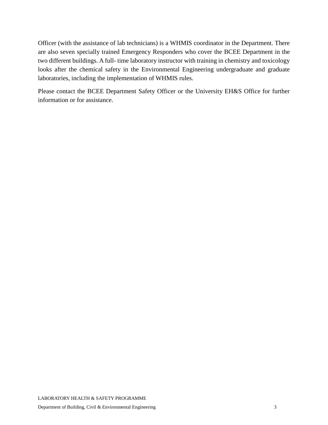Officer (with the assistance of lab technicians) is a WHMIS coordinator in the Department. There are also seven specially trained Emergency Responders who cover the BCEE Department in the two different buildings. A full- time laboratory instructor with training in chemistry and toxicology looks after the chemical safety in the Environmental Engineering undergraduate and graduate laboratories, including the implementation of WHMIS rules.

Please contact the BCEE Department Safety Officer or the University EH&S Office for further information or for assistance.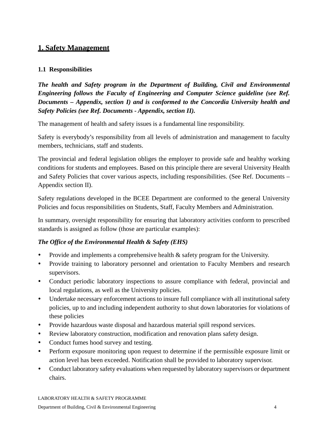## <span id="page-4-0"></span>**1. Safety Management**

#### <span id="page-4-1"></span>**1.1 Responsibilities**

*The health and Safety program in the Department of Building, Civil and Environmental Engineering follows the Faculty of Engineering and Computer Science guideline (see Ref. Documents – Appendix, section I) and is conformed to the Concordia University health and Safety Policies (see Ref. Documents - Appendix, section II).*

The management of health and safety issues is a fundamental line responsibility.

Safety is everybody's responsibility from all levels of administration and management to faculty members, technicians, staff and students.

The provincial and federal legislation obliges the employer to provide safe and healthy working conditions for students and employees. Based on this principle there are several University Health and Safety Policies that cover various aspects, including responsibilities. (See Ref. Documents – Appendix section II).

Safety regulations developed in the BCEE Department are conformed to the general University Policies and focus responsibilities on Students, Staff, Faculty Members and Administration.

In summary, oversight responsibility for ensuring that laboratory activities conform to prescribed standards is assigned as follow (those are particular examples):

#### *The Office of the Environmental Health & Safety (EHS)*

- Provide and implements a comprehensive health & safety program for the University.
- Provide training to laboratory personnel and orientation to Faculty Members and research supervisors.
- Conduct periodic laboratory inspections to assure compliance with federal, provincial and local regulations, as well as the University policies.
- Undertake necessary enforcement actions to insure full compliance with all institutional safety policies, up to and including independent authority to shut down laboratories for violations of these policies
- Provide hazardous waste disposal and hazardous material spill respond services.
- Review laboratory construction, modification and renovation plans safety design.
- Conduct fumes hood survey and testing.
- Perform exposure monitoring upon request to determine if the permissible exposure limit or action level has been exceeded. Notification shall be provided to laboratory supervisor.
- Conduct laboratory safety evaluations when requested by laboratory supervisors or department chairs.

LABORATORY HEALTH & SAFETY PROGRAMME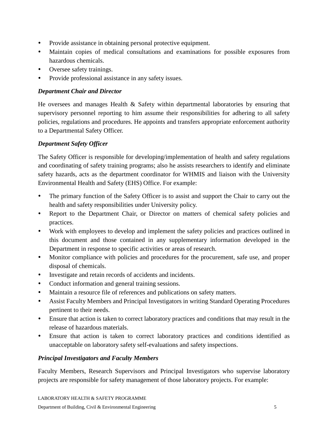- Provide assistance in obtaining personal protective equipment.
- Maintain copies of medical consultations and examinations for possible exposures from hazardous chemicals.
- Oversee safety trainings.
- Provide professional assistance in any safety issues.

#### *Department Chair and Director*

He oversees and manages Health & Safety within departmental laboratories by ensuring that supervisory personnel reporting to him assume their responsibilities for adhering to all safety policies, regulations and procedures. He appoints and transfers appropriate enforcement authority to a Departmental Safety Officer.

#### *Department Safety Officer*

The Safety Officer is responsible for developing/implementation of health and safety regulations and coordinating of safety training programs; also he assists researchers to identify and eliminate safety hazards, acts as the department coordinator for WHMIS and liaison with the University Environmental Health and Safety (EHS) Office. For example:

- The primary function of the Safety Officer is to assist and support the Chair to carry out the health and safety responsibilities under University policy.
- Report to the Department Chair, or Director on matters of chemical safety policies and practices.
- Work with employees to develop and implement the safety policies and practices outlined in this document and those contained in any supplementary information developed in the Department in response to specific activities or areas of research.
- Monitor compliance with policies and procedures for the procurement, safe use, and proper disposal of chemicals.
- Investigate and retain records of accidents and incidents.
- Conduct information and general training sessions.
- Maintain a resource file of references and publications on safety matters.
- Assist Faculty Members and Principal Investigators in writing Standard Operating Procedures pertinent to their needs.
- Ensure that action is taken to correct laboratory practices and conditions that may result in the release of hazardous materials.
- Ensure that action is taken to correct laboratory practices and conditions identified as unacceptable on laboratory safety self-evaluations and safety inspections.

#### *Principal Investigators and Faculty Members*

Faculty Members, Research Supervisors and Principal Investigators who supervise laboratory projects are responsible for safety management of those laboratory projects. For example: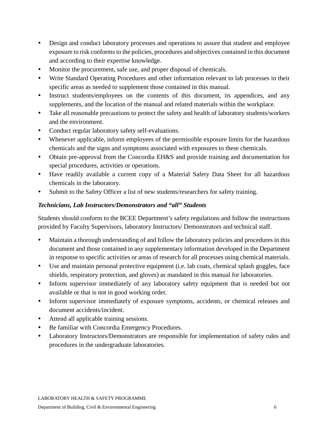- Design and conduct laboratory processes and operations to assure that student and employee exposure to risk conforms to the policies, procedures and objectives contained in this document and according to their expertise knowledge.
- Monitor the procurement, safe use, and proper disposal of chemicals.
- Write Standard Operating Procedures and other information relevant to lab processes in their specific areas as needed to supplement those contained in this manual.
- Instruct students/employees on the contents of this document, its appendices, and any supplements, and the location of the manual and related materials within the workplace.
- Take all reasonable precautions to protect the safety and health of laboratory students/workers and the environment.
- Conduct regular laboratory safety self-evaluations.
- Whenever applicable, inform employees of the permissible exposure limits for the hazardous chemicals and the signs and symptoms associated with exposures to these chemicals.
- Obtain pre-approval from the Concordia EH&S and provide training and documentation for special procedures, activities or operations.
- Have readily available a current copy of a Material Safety Data Sheet for all hazardous chemicals in the laboratory.
- Submit to the Safety Officer a list of new students/researchers for safety training.

#### *Technicians, Lab Instructors/Demonstrators and "all" Students*

Students should conform to the BCEE Department's safety regulations and follow the instructions provided by Faculty Supervisors, laboratory Instructors/ Demonstrators and technical staff.

- Maintain a thorough understanding of and follow the laboratory policies and procedures in this document and those contained in any supplementary information developed in the Department in response to specific activities or areas of research for all processes using chemical materials.
- Use and maintain personal protective equipment (i.e. lab coats, chemical splash goggles, face shields, respiratory protection, and gloves) as mandated in this manual for laboratories.
- Inform supervisor immediately of any laboratory safety equipment that is needed but not available or that is not in good working order.
- Inform supervisor immediately of exposure symptoms, accidents, or chemical releases and document accidents/incident.
- Attend all applicable training sessions.
- Be familiar with Concordia Emergency Procedures.
- Laboratory Instructors/Demonstrators are responsible for implementation of safety rules and procedures in the undergraduate laboratories.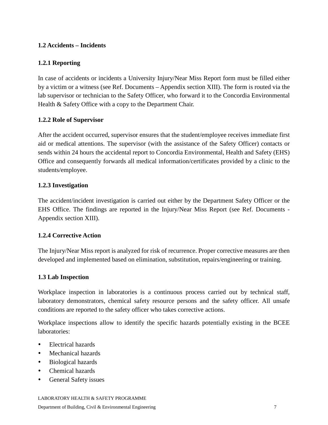#### <span id="page-7-0"></span>**1.2 Accidents – Incidents**

#### **1.2.1 Reporting**

In case of accidents or incidents a University Injury/Near Miss Report form must be filled either by a victim or a witness (see Ref. Documents – Appendix section XIII). The form is routed via the lab supervisor or technician to the Safety Officer, who forward it to the Concordia Environmental Health & Safety Office with a copy to the Department Chair.

#### **1.2.2 Role of Supervisor**

After the accident occurred, supervisor ensures that the student/employee receives immediate first aid or medical attentions. The supervisor (with the assistance of the Safety Officer) contacts or sends within 24 hours the accidental report to Concordia Environmental, Health and Safety (EHS) Office and consequently forwards all medical information/certificates provided by a clinic to the students/employee.

#### **1.2.3 Investigation**

The accident/incident investigation is carried out either by the Department Safety Officer or the EHS Office. The findings are reported in the Injury/Near Miss Report (see Ref. Documents - Appendix section XIII).

#### <span id="page-7-1"></span>**1.2.4 Corrective Action**

The Injury/Near Miss report is analyzed for risk of recurrence. Proper corrective measures are then developed and implemented based on elimination, substitution, repairs/engineering or training.

#### <span id="page-7-2"></span>**1.3 Lab Inspection**

Workplace inspection in laboratories is a continuous process carried out by technical staff, laboratory demonstrators, chemical safety resource persons and the safety officer. All unsafe conditions are reported to the safety officer who takes corrective actions.

Workplace inspections allow to identify the specific hazards potentially existing in the BCEE laboratories:

- Electrical hazards
- Mechanical hazards
- Biological hazards
- Chemical hazards
- General Safety issues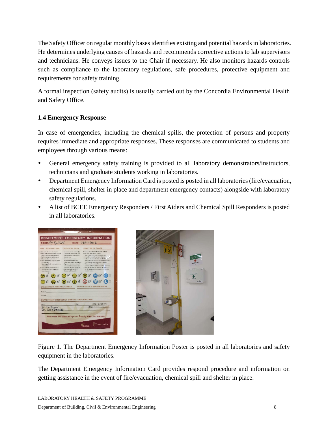The Safety Officer on regular monthly bases identifies existing and potential hazards in laboratories. He determines underlying causes of hazards and recommends corrective actions to lab supervisors and technicians. He conveys issues to the Chair if necessary. He also monitors hazards controls such as compliance to the laboratory regulations, safe procedures, protective equipment and requirements for safety training.

A formal inspection (safety audits) is usually carried out by the Concordia Environmental Health and Safety Office.

#### <span id="page-8-0"></span>**1.4 Emergency Response**

In case of emergencies, including the chemical spills, the protection of persons and property requires immediate and appropriate responses. These responses are communicated to students and employees through various means:

- General emergency safety training is provided to all laboratory demonstrators/instructors, technicians and graduate students working in laboratories.
- Department Emergency Information Card is posted is posted in all laboratories (fire/evacuation, chemical spill, shelter in place and department emergency contacts) alongside with laboratory safety regulations.
- A list of BCEE Emergency Responders / First Aiders and Chemical Spill Responders is posted in all laboratories.





Figure 1. The Department Emergency Information Poster is posted in all laboratories and safety equipment in the laboratories.

The Department Emergency Information Card provides respond procedure and information on getting assistance in the event of fire/evacuation, chemical spill and shelter in place.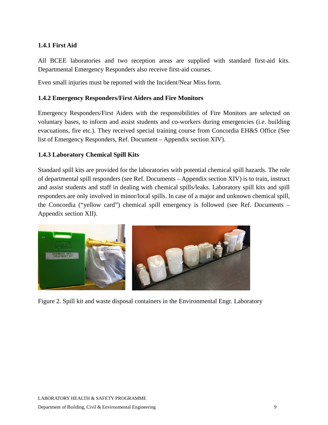#### **1.4.1 First Aid**

All BCEE laboratories and two reception areas are supplied with standard first-aid kits. Departmental Emergency Responders also receive first-aid courses.

Even small injuries must be reported with the Incident/Near Miss form.

#### **1.4.2 Emergency Responders/First Aiders and Fire Monitors**

Emergency Responders/First Aiders with the responsibilities of Fire Monitors are selected on voluntary bases, to inform and assist students and co-workers during emergencies (i.e. building evacuations, fire etc.). They received special training course from Concordia EH&S Office (See list of Emergency Responders, Ref. Document – Appendix section XIV).

#### **1.4.3 Laboratory Chemical Spill Kits**

Standard spill kits are provided for the laboratories with potential chemical spill hazards. The role of departmental spill responders (see Ref. Documents – Appendix section XIV) is to train, instruct and assist students and staff in dealing with chemical spills/leaks. Laboratory spill kits and spill responders are only involved in minor/local spills. In case of a major and unknown chemical spill, the Concordia ("yellow card") chemical spill emergency is followed (see Ref. Documents – Appendix section XII).



Figure 2. Spill kit and waste disposal containers in the Environmental Engr. Laboratory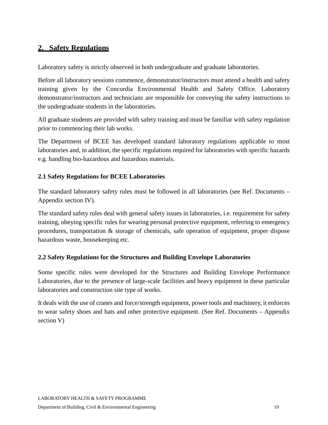## <span id="page-10-0"></span>**2. Safety Regulations**

Laboratory safety is strictly observed in both undergraduate and graduate laboratories.

Before all laboratory sessions commence, demonstrator/instructors must attend a health and safety training given by the Concordia Environmental Health and Safety Office. Laboratory demonstrator/instructors and technicians are responsible for conveying the safety instructions to the undergraduate students in the laboratories.

All graduate students are provided with safety training and must be familiar with safety regulation prior to commencing their lab works.

The Department of BCEE has developed standard laboratory regulations applicable to most laboratories and, in addition, the specific regulations required for laboratories with specific hazards e.g. handling bio-hazardous and hazardous materials.

#### <span id="page-10-1"></span>**2.1 Safety Regulations for BCEE Laboratories**

The standard laboratory safety rules must be followed in all laboratories (see Ref. Documents – Appendix section IV).

The standard safety rules deal with general safety issues in laboratories, i.e. requirement for safety training, obeying specific rules for wearing personal protective equipment, referring to emergency procedures, transportation & storage of chemicals, safe operation of equipment, proper dispose hazardous waste, housekeeping etc.

#### <span id="page-10-2"></span>**2.2 Safety Regulations for the Structures and Building Envelope Laboratories**

Some specific rules were developed for the Structures and Building Envelope Performance Laboratories, due to the presence of large-scale facilities and heavy equipment in these particular laboratories and construction site type of works.

It deals with the use of cranes and force/strength equipment, power tools and machinery, it enforces to wear safety shoes and hats and other protective equipment. (See Ref. Documents – Appendix section V)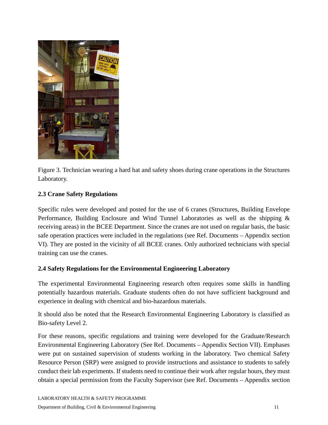

Figure 3. Technician wearing a hard hat and safety shoes during crane operations in the Structures Laboratory.

#### **2.3 Crane Safety Regulations**

Specific rules were developed and posted for the use of 6 cranes (Structures, Building Envelope Performance, Building Enclosure and Wind Tunnel Laboratories as well as the shipping & receiving areas) in the BCEE Department. Since the cranes are not used on regular basis, the basic safe operation practices were included in the regulations (see Ref. Documents – Appendix section VI). They are posted in the vicinity of all BCEE cranes. Only authorized technicians with special training can use the cranes.

#### **2.4 Safety Regulations for the Environmental Engineering Laboratory**

The experimental Environmental Engineering research often requires some skills in handling potentially hazardous materials. Graduate students often do not have sufficient background and experience in dealing with chemical and bio-hazardous materials.

It should also be noted that the Research Environmental Engineering Laboratory is classified as Bio-safety Level 2.

For these reasons, specific regulations and training were developed for the Graduate/Research Environmental Engineering Laboratory (See Ref. Documents – Appendix Section VII). Emphases were put on sustained supervision of students working in the laboratory. Two chemical Safety Resource Person (SRP) were assigned to provide instructions and assistance to students to safely conduct their lab experiments. If students need to continue their work after regular hours, they must obtain a special permission from the Faculty Supervisor (see Ref. Documents – Appendix section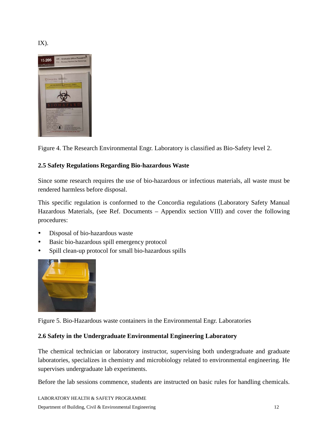$IX$ ).



<span id="page-12-0"></span>Figure 4. The Research Environmental Engr. Laboratory is classified as Bio-Safety level 2.

#### **2.5 Safety Regulations Regarding Bio-hazardous Waste**

Since some research requires the use of bio-hazardous or infectious materials, all waste must be rendered harmless before disposal.

This specific regulation is conformed to the Concordia regulations (Laboratory Safety Manual Hazardous Materials, (see Ref. Documents – Appendix section VIII) and cover the following procedures:

- Disposal of bio-hazardous waste
- Basic bio-hazardous spill emergency protocol
- Spill clean-up protocol for small bio-hazardous spills



Figure 5. Bio-Hazardous waste containers in the Environmental Engr. Laboratories

#### **2.6 Safety in the Undergraduate Environmental Engineering Laboratory**

The chemical technician or laboratory instructor, supervising both undergraduate and graduate laboratories, specializes in chemistry and microbiology related to environmental engineering. He supervises undergraduate lab experiments.

Before the lab sessions commence, students are instructed on basic rules for handling chemicals.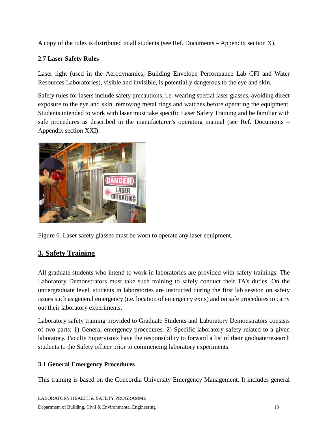A copy of the rules is distributed to all students (see Ref. Documents – Appendix section X).

#### **2.7 Laser Safety Rules**

Laser light (used in the Aerodynamics, Building Envelope Performance Lab CFI and Water Resources Laboratories), visible and invisible, is potentially dangerous to the eye and skin.

Safety rules for lasers include safety precautions, i.e. wearing special laser glasses, avoiding direct exposure to the eye and skin, removing metal rings and watches before operating the equipment. Students intended to work with laser must take specific Laser Safety Training and be familiar with safe procedures as described in the manufacturer's operating manual (see Ref. Documents – Appendix section XXI).



<span id="page-13-0"></span>Figure 6. Laser safety glasses must be worn to operate any laser equipment.

## **3. Safety Training**

All graduate students who intend to work in laboratories are provided with safety trainings. The Laboratory Demonstrators must take such training to safely conduct their TA's duties. On the undergraduate level, students in laboratories are instructed during the first lab session on safety issues such as general emergency (i.e. location of emergency exits) and on safe procedures to carry out their laboratory experiments.

Laboratory safety training provided to Graduate Students and Laboratory Demonstrators consists of two parts: 1) General emergency procedures. 2) Specific laboratory safety related to a given laboratory. Faculty Supervisors have the responsibility to forward a list of their graduate/research students to the Safety officer prior to commencing laboratory experiments.

#### <span id="page-13-1"></span>**3.1 General Emergency Procedures**

This training is based on the Concordia University Emergency Management. It includes general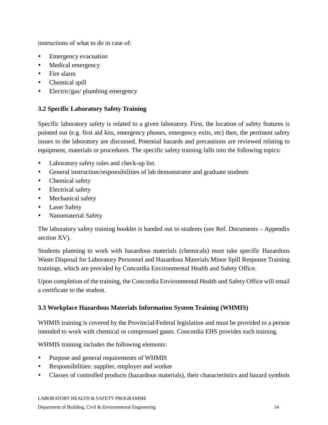instructions of what to do in case of:

- Emergency evacuation
- Medical emergency
- Fire alarm
- Chemical spill
- <span id="page-14-0"></span>• Electric/gas/ plumbing emergency

#### **3.2 Specific Laboratory Safety Training**

Specific laboratory safety is related to a given laboratory. First, the location of safety features is pointed out (e.g. first aid kits, emergency phones, emergency exits, etc) then, the pertinent safety issues to the laboratory are discussed. Potential hazards and precautions are reviewed relating to equipment, materials or procedures. The specific safety training falls into the following topics:

- Laboratory safety rules and check-up list.
- General instruction/responsibilities of lab demonstrator and graduate students
- Chemical safety
- Electrical safety
- Mechanical safety
- Laser Safety
- Nanomaterial Safety

The laboratory safety training booklet is handed out to students (see Ref. Documents – Appendix section XV).

Students planning to work with hazardous materials (chemicals) must take specific Hazardous Waste Disposal for Laboratory Personnel and Hazardous Materials Minor Spill Response Training trainings, which are provided by Concordia Environmental Health and Safety Office.

Upon completion of the training, the Concordia Environmental Health and Safety Office will email a certificate to the student.

#### <span id="page-14-1"></span>**3.3 Workplace Hazardous Materials Information System Training (WHMIS)**

WHMIS training is covered by the Provincial/Federal legislation and must be provided to a person intended to work with chemical or compressed gases. Concordia EHS provides such training.

WHMIS training includes the following elements:

- Purpose and general requirements of WHMIS
- Responsibilities: supplier, employer and worker
- Classes of controlled products (hazardous materials), their characteristics and hazard symbols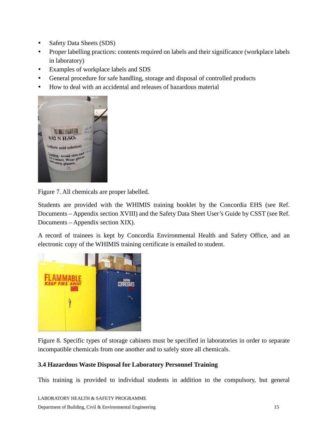- Safety Data Sheets (SDS)
- Proper labelling practices: contents required on labels and their significance (workplace labels in laboratory)
- Examples of workplace labels and SDS
- General procedure for safe handling, storage and disposal of controlled products
- How to deal with an accidental and releases of hazardous material



Figure 7. All chemicals are proper labelled.

Students are provided with the WHIMIS training booklet by the Concordia EHS (see Ref. Documents – Appendix section XVIII) and the Safety Data Sheet User's Guide by CSST (see Ref. Documents – Appendix section XIX).

A record of trainees is kept by Concordia Environmental Health and Safety Office, and an electronic copy of the WHIMIS training certificate is emailed to student.



Figure 8. Specific types of storage cabinets must be specified in laboratories in order to separate incompatible chemicals from one another and to safely store all chemicals.

#### **3.4 Hazardous Waste Disposal for Laboratory Personnel Training**

This training is provided to individual students in addition to the compulsory, but general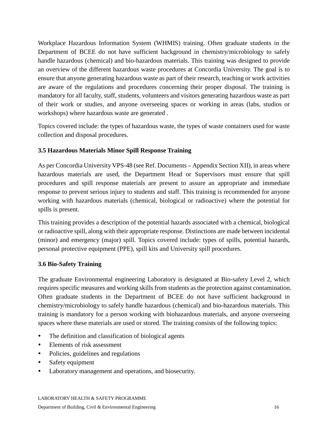Workplace Hazardous Information System (WHMIS) training. Often graduate students in the Department of BCEE do not have sufficient background in chemistry/microbiology to safely handle hazardous (chemical) and bio-hazardous materials. This training was designed to provide an overview of the different hazardous waste procedures at Concordia University. The goal is to ensure that anyone generating hazardous waste as part of their research, teaching or work activities are aware of the regulations and procedures concerning their proper disposal. The training is mandatory for all faculty, staff, students, volunteers and visitors generating hazardous waste as part of their work or studies, and anyone overseeing spaces or working in areas (labs, studios or workshops) where hazardous waste are generated .

Topics covered include: the types of hazardous waste, the types of waste containers used for waste collection and disposal procedures.

#### **3.5 Hazardous Materials Minor Spill Response Training**

As per Concordia University VPS-48 (see Ref. Documents – Appendix Section XII), in areas where hazardous materials are used, the Department Head or Supervisors must ensure that spill procedures and spill response materials are present to assure an appropriate and immediate response to prevent serious injury to students and staff. This training is recommended for anyone working with hazardous materials (chemical, biological or radioactive) where the potential for spills is present.

This training provides a description of the potential hazards associated with a chemical, biological or radioactive spill, along with their appropriate response. Distinctions are made between incidental (minor) and emergency (major) spill. Topics covered include: types of spills, potential hazards, personal protective equipment (PPE), spill kits and University spill procedures.

#### **3.6 Bio-Safety Training**

The graduate Environmental engineering Laboratory is designated at Bio-safety Level 2, which requires specific measures and working skills from students as the protection against contamination. Often graduate students in the Department of BCEE do not have sufficient background in chemistry/microbiology to safely handle hazardous (chemical) and bio-hazardous materials. This training is mandatory for a person working with biohazardous materials, and anyone overseeing spaces where these materials are used or stored. The training consists of the following topics:

- The definition and classification of biological agents
- Elements of risk assessment
- Policies, guidelines and regulations
- Safety equipment
- Laboratory management and operations, and biosecurity.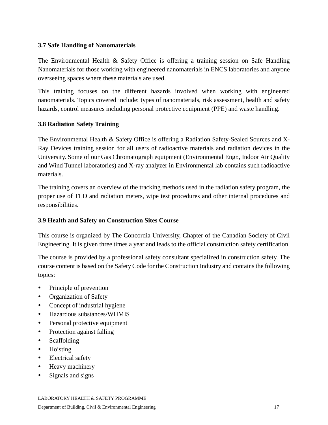#### **3.7 Safe Handling of Nanomaterials**

The Environmental Health & Safety Office is offering a training session on Safe Handling Nanomaterials for those working with engineered nanomaterials in ENCS laboratories and anyone overseeing spaces where these materials are used.

This training focuses on the different hazards involved when working with engineered nanomaterials. Topics covered include: types of nanomaterials, risk assessment, health and safety hazards, control measures including personal protective equipment (PPE) and waste handling.

#### **3.8 Radiation Safety Training**

The Environmental Health & Safety Office is offering a Radiation Safety-Sealed Sources and X-Ray Devices training session for all users of radioactive materials and radiation devices in the University. Some of our Gas Chromatograph equipment (Environmental Engr., Indoor Air Quality and Wind Tunnel laboratories) and X-ray analyzer in Environmental lab contains such radioactive materials.

The training covers an overview of the tracking methods used in the radiation safety program, the proper use of TLD and radiation meters, wipe test procedures and other internal procedures and responsibilities.

#### **3.9 Health and Safety on Construction Sites Course**

This course is organized by The Concordia University, Chapter of the Canadian Society of Civil Engineering. It is given three times a year and leads to the official construction safety certification.

The course is provided by a professional safety consultant specialized in construction safety. The course content is based on the Safety Code for the Construction Industry and contains the following topics:

- Principle of prevention
- Organization of Safety
- Concept of industrial hygiene
- Hazardous substances/WHMIS
- Personal protective equipment
- Protection against falling
- Scaffolding
- Hoisting
- Electrical safety
- Heavy machinery
- Signals and signs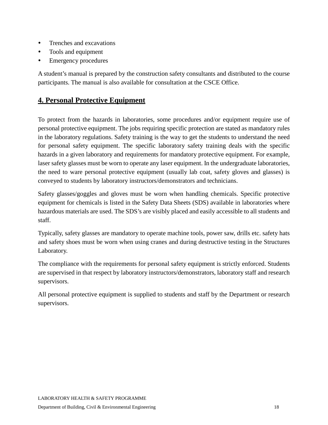- Trenches and excavations
- Tools and equipment
- Emergency procedures

A student's manual is prepared by the construction safety consultants and distributed to the course participants. The manual is also available for consultation at the CSCE Office.

### <span id="page-18-0"></span>**4. Personal Protective Equipment**

To protect from the hazards in laboratories, some procedures and/or equipment require use of personal protective equipment. The jobs requiring specific protection are stated as mandatory rules in the laboratory regulations. Safety training is the way to get the students to understand the need for personal safety equipment. The specific laboratory safety training deals with the specific hazards in a given laboratory and requirements for mandatory protective equipment. For example, laser safety glasses must be worn to operate any laser equipment. In the undergraduate laboratories, the need to ware personal protective equipment (usually lab coat, safety gloves and glasses) is conveyed to students by laboratory instructors/demonstrators and technicians.

Safety glasses/goggles and gloves must be worn when handling chemicals. Specific protective equipment for chemicals is listed in the Safety Data Sheets (SDS) available in laboratories where hazardous materials are used. The SDS's are visibly placed and easily accessible to all students and staff.

Typically, safety glasses are mandatory to operate machine tools, power saw, drills etc. safety hats and safety shoes must be worn when using cranes and during destructive testing in the Structures Laboratory.

The compliance with the requirements for personal safety equipment is strictly enforced. Students are supervised in that respect by laboratory instructors/demonstrators, laboratory staff and research supervisors.

All personal protective equipment is supplied to students and staff by the Department or research supervisors.